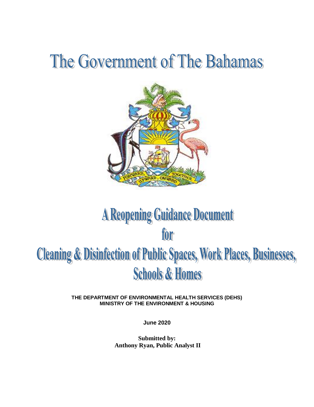# The Government of The Bahamas



## **A Reopening Guidance Document** for **Cleaning & Disinfection of Public Spaces, Work Places, Businesses, Schools & Homes**

**THE DEPARTMENT OF ENVIRONMENTAL HEALTH SERVICES (DEHS) MINISTRY OF THE ENVIRONMENT & HOUSING**

**June 2020**

**Submitted by: Anthony Ryan, Public Analyst II**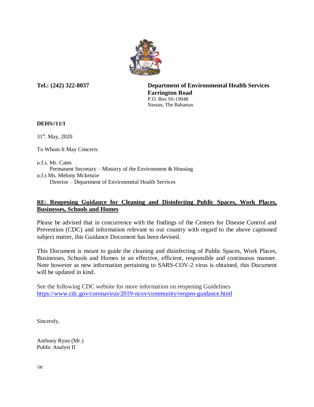

**Tel.: (242) 322-8037 Department of Environmental Health Services Farrington Road** P.O. Box SS-19048 Nassau, The Bahamas

#### **DEHS//11/1**

31<sup>st</sup>. May, 2020

To Whom It May Concern:

u.f.s. Mr. Cates Permanent Secretary – Ministry of the Environment & Housing u.f.s Ms. Melony Mckenzie Director – Department of Environmetal Health Services

### **RE: Reopening Guidance for Cleaning and Disinfecting Public Spaces, Work Places, Businesses, Schools and Homes**

Please be advised that in concurrence with the findings of the Centers for Disease Control and Prevention (CDC) and information relevant to our country with regard to the above captioned subject matter, this Guidance Document has been devised.

This Document is meant to guide the cleaning and disinfecting of Public Spaces, Work Places, Businesses, Schools and Homes in an effective, efficient, responsible and continuous manner. Note however as new information pertaining to SARS-COV-2 virus is obtained, this Document will be updated in kind.

See the following CDC website for more information on reopening Guidelines <https://www.cdc.gov/coronavirus/2019-ncov/community/reopen-guidance.html>

Sincerely,

Anthony Ryan (Mr.) Public Analyst II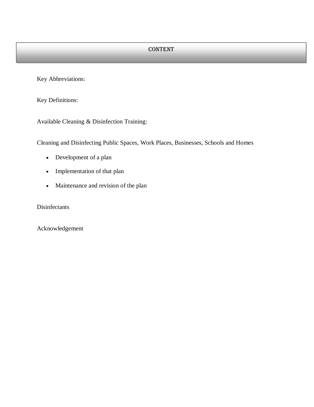Key Abbreviations:

Key Definitions:

Available Cleaning & Disinfection Training:

Cleaning and Disinfecting Public Spaces, Work Places, Businesses, Schools and Homes

- Development of a plan
- Implementation of that plan
- Maintenance and revision of the plan

Disinfectants

Acknowledgement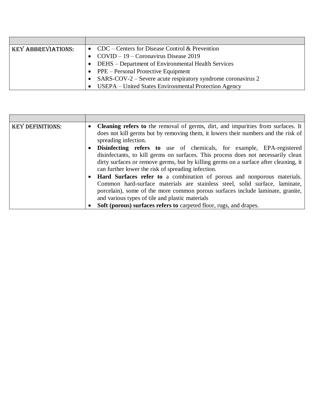| <b>KEY ABBREVIATIONS:</b> | • CDC – Centers for Disease Control & Prevention               |
|---------------------------|----------------------------------------------------------------|
|                           | • COVID – 19 – Coronavirus Disease 2019                        |
|                           | • DEHS – Department of Environmental Health Services           |
|                           | $\bullet$ PPE – Personal Protective Equipment                  |
|                           | • SARS-COV-2 – Severe acute respiratory syndrome coronavirus 2 |
|                           | USEPA – United States Environmental Protection Agency          |

| <b>KEY DEFINITIONS:</b> | <b>Cleaning refers to</b> the removal of germs, dirt, and impurities from surfaces. It<br>$\bullet$<br>does not kill germs but by removing them, it lowers their numbers and the risk of<br>spreading infection.                                                                                                                                                  |
|-------------------------|-------------------------------------------------------------------------------------------------------------------------------------------------------------------------------------------------------------------------------------------------------------------------------------------------------------------------------------------------------------------|
|                         | <b>Disinfecting refers to</b> use of chemicals, for example, EPA-registered<br>disinfectants, to kill germs on surfaces. This process does not necessarily clean<br>dirty surfaces or remove germs, but by killing germs on a surface after cleaning, it<br>can further lower the risk of spreading infection.                                                    |
|                         | Hard Surfaces refer to a combination of porous and nonporous materials.<br>Common hard-surface materials are stainless steel, solid surface, laminate,<br>porcelain), some of the more common porous surfaces include laminate, granite,<br>and various types of tile and plastic materials<br>Soft (porous) surfaces refers to carpeted floor, rugs, and drapes. |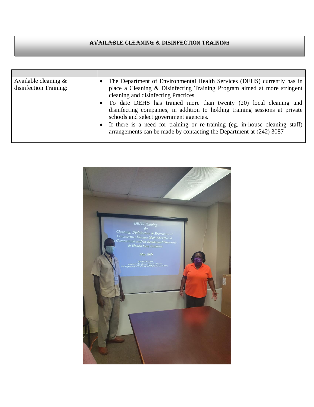## Available Cleaning & Disinfection Training

| Available cleaning $\&$<br>disinfection Training: | The Department of Environmental Health Services (DEHS) currently has in<br>place a Cleaning & Disinfecting Training Program aimed at more stringent<br>cleaning and disinfecting Practices<br>To date DEHS has trained more than twenty (20) local cleaning and<br>disinfecting companies, in addition to holding training sessions at private<br>schools and select government agencies.<br>If there is a need for training or re-training (eg. in-house cleaning staff)<br>arrangements can be made by contacting the Department at (242) 3087 |
|---------------------------------------------------|--------------------------------------------------------------------------------------------------------------------------------------------------------------------------------------------------------------------------------------------------------------------------------------------------------------------------------------------------------------------------------------------------------------------------------------------------------------------------------------------------------------------------------------------------|

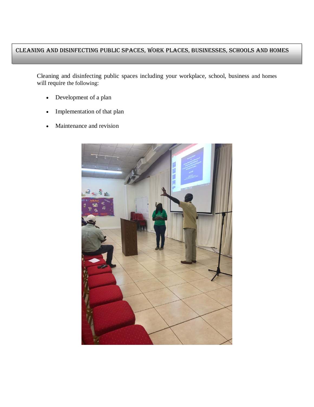## Cleaning and Disinfecting Public Spaces, Work Places, Businesses, Schools and Homes

Cleaning and disinfecting public spaces including your workplace, school, business and homes will require the following:

- Development of a plan
- Implementation of that plan
- Maintenance and revision

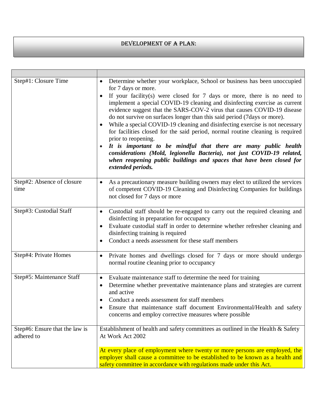## DEVELOPMENT OF A PLAN:

| Step#1: Closure Time                         | Determine whether your workplace, School or business has been unoccupied<br>for 7 days or more.<br>If your facility(s) were closed for $7$ days or more, there is no need to<br>implement a special COVID-19 cleaning and disinfecting exercise as current<br>evidence suggest that the SARS-COV-2 virus that causes COVID-19 disease<br>do not survive on surfaces longer than this said period (7days or more).<br>While a special COVID-19 cleaning and disinfecting exercise is not necessary<br>for facilities closed for the said period, normal routine cleaning is required<br>prior to reopening.<br>It is important to be mindful that there are many public health<br>considerations (Mold, legionella Bacteria), not just COVID-19 related,<br>when reopening public buildings and spaces that have been closed for<br>extended periods. |
|----------------------------------------------|------------------------------------------------------------------------------------------------------------------------------------------------------------------------------------------------------------------------------------------------------------------------------------------------------------------------------------------------------------------------------------------------------------------------------------------------------------------------------------------------------------------------------------------------------------------------------------------------------------------------------------------------------------------------------------------------------------------------------------------------------------------------------------------------------------------------------------------------------|
| Step#2: Absence of closure<br>time           | As a precautionary measure building owners may elect to utilized the services<br>$\bullet$<br>of competent COVID-19 Cleaning and Disinfecting Companies for buildings<br>not closed for 7 days or more                                                                                                                                                                                                                                                                                                                                                                                                                                                                                                                                                                                                                                               |
| Step#3: Custodial Staff                      | Custodial staff should be re-engaged to carry out the required cleaning and<br>$\bullet$<br>disinfecting in preparation for occupancy<br>Evaluate custodial staff in order to determine whether refresher cleaning and<br>$\bullet$<br>disinfecting training is required<br>Conduct a needs assessment for these staff members                                                                                                                                                                                                                                                                                                                                                                                                                                                                                                                       |
| Step#4: Private Homes                        | Private homes and dwellings closed for 7 days or more should undergo<br>$\bullet$<br>normal routine cleaning prior to occupancy                                                                                                                                                                                                                                                                                                                                                                                                                                                                                                                                                                                                                                                                                                                      |
| Step#5: Maintenance Staff                    | Evaluate maintenance staff to determine the need for training<br>$\bullet$<br>Determine whether preventative maintenance plans and strategies are current<br>and active<br>Conduct a needs assessment for staff members<br>Ensure that maintenance staff document Environmental/Health and safety<br>concerns and employ corrective measures where possible                                                                                                                                                                                                                                                                                                                                                                                                                                                                                          |
| Step#6: Ensure that the law is<br>adhered to | Establishment of health and safety committees as outlined in the Health & Safety<br>At Work Act 2002<br>At every place of employment where twenty or more persons are employed, the<br>employer shall cause a committee to be established to be known as a health and<br>safety committee in accordance with regulations made under this Act.                                                                                                                                                                                                                                                                                                                                                                                                                                                                                                        |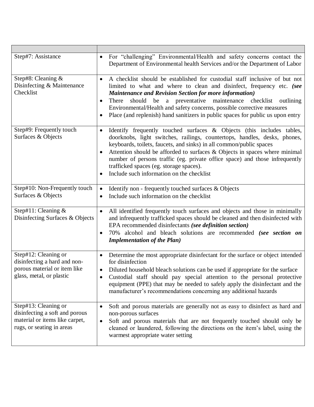| Step#7: Assistance                                                                                                    | For "challenging" Environmental/Health and safety concerns contact the<br>$\bullet$<br>Department of Environmental health Services and/or the Department of Labor                                                                                                                                                                                                                                                                                                                           |
|-----------------------------------------------------------------------------------------------------------------------|---------------------------------------------------------------------------------------------------------------------------------------------------------------------------------------------------------------------------------------------------------------------------------------------------------------------------------------------------------------------------------------------------------------------------------------------------------------------------------------------|
| Step#8: Cleaning &<br>Disinfecting & Maintenance<br>Checklist                                                         | A checklist should be established for custodial staff inclusive of but not<br>$\bullet$<br>limited to what and where to clean and disinfect, frequency etc. (see<br><b>Maintenance and Revision Section for more information)</b><br>should be a preventative maintenance checklist<br>There<br>outlining<br>Environmental/Health and safety concerns, possible corrective measures<br>Place (and replenish) hand sanitizers in public spaces for public us upon entry                      |
| Step#9: Frequently touch<br>Surfaces & Objects                                                                        | Identify frequently touched surfaces & Objects (this includes tables,<br>$\bullet$<br>doorknobs, light switches, railings, countertops, handles, desks, phones,<br>keyboards, toilets, faucets, and sinks) in all common/public spaces<br>Attention should be afforded to surfaces & Objects in spaces where minimal<br>number of persons traffic (eg. private office space) and those infrequently<br>trafficked spaces (eg. storage spaces).<br>Include such information on the checklist |
| Step#10: Non-Frequently touch<br>Surfaces & Objects                                                                   | Identify non - frequently touched surfaces & Objects<br>$\bullet$<br>Include such information on the checklist<br>$\bullet$                                                                                                                                                                                                                                                                                                                                                                 |
| Step#11: Cleaning $\&$<br>Disinfecting Surfaces & Objects                                                             | All identified frequently touch surfaces and objects and those in minimally<br>$\bullet$<br>and infrequently trafficked spaces should be cleaned and then disinfected with<br>EPA recommended disinfectants (see definition section)<br>70% alcohol and bleach solutions are recommended (see section on<br><b>Implementation of the Plan)</b>                                                                                                                                              |
| Step#12: Cleaning or<br>disinfecting a hard and non-<br>porous material or item like<br>glass, metal, or plastic      | Determine the most appropriate disinfectant for the surface or object intended<br>$\bullet$<br>for disinfection<br>Diluted household bleach solutions can be used if appropriate for the surface<br>Custodial staff should pay special attention to the personal protective<br>equipment (PPE) that may be needed to safely apply the disinfectant and the<br>manufacturer's recommendations concerning any additional hazards                                                              |
| Step#13: Cleaning or<br>disinfecting a soft and porous<br>material or items like carpet,<br>rugs, or seating in areas | Soft and porous materials are generally not as easy to disinfect as hard and<br>$\bullet$<br>non-porous surfaces<br>Soft and porous materials that are not frequently touched should only be<br>cleaned or laundered, following the directions on the item's label, using the<br>warmest appropriate water setting                                                                                                                                                                          |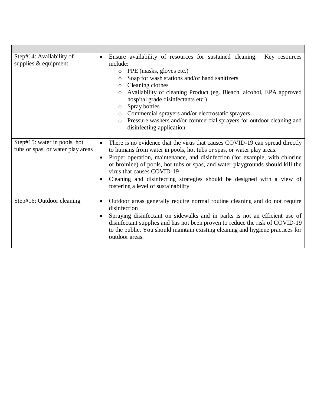| Step#14: Availability of<br>supplies $&$ equipment                | Ensure availability of resources for sustained cleaning.<br>Key resources<br>include:<br>PPE (masks, gloves etc.)<br>$\circ$<br>Soap for wash stations and/or hand sanitizers<br>$\circ$<br>Cleaning clothes<br>$\circ$<br>Availability of cleaning Product (eg. Bleach, alcohol, EPA approved<br>hospital grade disinfectants etc.)<br>Spray bottles<br>$\circ$<br>o Commercial sprayers and/or electrostatic sprayers<br>Pressure washers and/or commercial sprayers for outdoor cleaning and<br>$\circ$<br>disinfecting application |
|-------------------------------------------------------------------|----------------------------------------------------------------------------------------------------------------------------------------------------------------------------------------------------------------------------------------------------------------------------------------------------------------------------------------------------------------------------------------------------------------------------------------------------------------------------------------------------------------------------------------|
| Step#15: water in pools, hot<br>tubs or spas, or water play areas | There is no evidence that the virus that causes COVID-19 can spread directly<br>$\bullet$<br>to humans from water in pools, hot tubs or spas, or water play areas.<br>Proper operation, maintenance, and disinfection (for example, with chlorine                                                                                                                                                                                                                                                                                      |
|                                                                   | or bromine) of pools, hot tubs or spas, and water playgrounds should kill the<br>virus that causes COVID-19                                                                                                                                                                                                                                                                                                                                                                                                                            |
|                                                                   | Cleaning and disinfecting strategies should be designed with a view of<br>fostering a level of sustainability                                                                                                                                                                                                                                                                                                                                                                                                                          |
| Step#16: Outdoor cleaning                                         | Outdoor areas generally require normal routine cleaning and do not require<br>$\bullet$<br>disinfection                                                                                                                                                                                                                                                                                                                                                                                                                                |
|                                                                   | Spraying disinfectant on sidewalks and in parks is not an efficient use of<br>disinfectant supplies and has not been proven to reduce the risk of COVID-19<br>to the public. You should maintain existing cleaning and hygiene practices for<br>outdoor areas.                                                                                                                                                                                                                                                                         |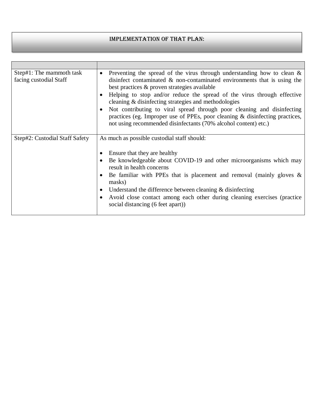## Implementation of that plan:

| Step#1: The mammoth task<br>facing custodial Staff | Preventing the spread of the virus through understanding how to clean $\&$<br>$\bullet$<br>disinfect contaminated $\&$ non-contaminated environments that is using the<br>best practices & proven strategies available<br>Helping to stop and/or reduce the spread of the virus through effective<br>cleaning & disinfecting strategies and methodologies<br>Not contributing to viral spread through poor cleaning and disinfecting<br>practices (eg. Improper use of PPEs, poor cleaning & disinfecting practices,<br>not using recommended disinfectants (70% alcohol content) etc.) |
|----------------------------------------------------|-----------------------------------------------------------------------------------------------------------------------------------------------------------------------------------------------------------------------------------------------------------------------------------------------------------------------------------------------------------------------------------------------------------------------------------------------------------------------------------------------------------------------------------------------------------------------------------------|
|                                                    |                                                                                                                                                                                                                                                                                                                                                                                                                                                                                                                                                                                         |
| Step#2: Custodial Staff Safety                     | As much as possible custodial staff should:                                                                                                                                                                                                                                                                                                                                                                                                                                                                                                                                             |
|                                                    |                                                                                                                                                                                                                                                                                                                                                                                                                                                                                                                                                                                         |
|                                                    | Ensure that they are healthy                                                                                                                                                                                                                                                                                                                                                                                                                                                                                                                                                            |
|                                                    | Be knowledgeable about COVID-19 and other microorganisms which may<br>result in health concerns                                                                                                                                                                                                                                                                                                                                                                                                                                                                                         |
|                                                    |                                                                                                                                                                                                                                                                                                                                                                                                                                                                                                                                                                                         |
|                                                    | Be familiar with PPEs that is placement and removal (mainly gloves $\&$<br>masks)                                                                                                                                                                                                                                                                                                                                                                                                                                                                                                       |
|                                                    | • Understand the difference between cleaning $&$ disinfecting                                                                                                                                                                                                                                                                                                                                                                                                                                                                                                                           |
|                                                    | Avoid close contact among each other during cleaning exercises (practice<br>social distancing (6 feet apart))                                                                                                                                                                                                                                                                                                                                                                                                                                                                           |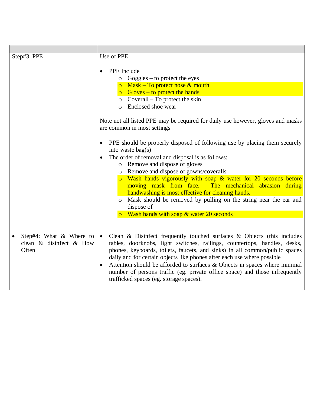| Step#3: PPE                                                    | Use of PPE<br>PPE Include<br>$\circ$ Goggles – to protect the eyes                                                                                                                                                                                                                                                                                                                                                                                                                                                       |
|----------------------------------------------------------------|--------------------------------------------------------------------------------------------------------------------------------------------------------------------------------------------------------------------------------------------------------------------------------------------------------------------------------------------------------------------------------------------------------------------------------------------------------------------------------------------------------------------------|
|                                                                | o Mask – To protect nose $&$ mouth<br>$\circ$ Gloves – to protect the hands<br>$\circ$ Coverall – To protect the skin                                                                                                                                                                                                                                                                                                                                                                                                    |
|                                                                | Enclosed shoe wear<br>$\circ$                                                                                                                                                                                                                                                                                                                                                                                                                                                                                            |
|                                                                | Note not all listed PPE may be required for daily use however, gloves and masks<br>are common in most settings                                                                                                                                                                                                                                                                                                                                                                                                           |
|                                                                | PPE should be properly disposed of following use by placing them securely<br>$\bullet$<br>into waste bag $(s)$                                                                                                                                                                                                                                                                                                                                                                                                           |
|                                                                | The order of removal and disposal is as follows:<br>$\bullet$<br>o Remove and dispose of gloves<br>o Remove and dispose of gowns/coveralls                                                                                                                                                                                                                                                                                                                                                                               |
|                                                                | o Wash hands vigorously with soap & water for 20 seconds before<br>moving mask from face. The mechanical abrasion during<br>handwashing is most effective for cleaning hands.                                                                                                                                                                                                                                                                                                                                            |
|                                                                | Mask should be removed by pulling on the string near the ear and<br>$\circ$<br>dispose of                                                                                                                                                                                                                                                                                                                                                                                                                                |
|                                                                | Wash hands with soap & water 20 seconds                                                                                                                                                                                                                                                                                                                                                                                                                                                                                  |
| Step#4: What $\&$ Where to<br>clean & disinfect & How<br>Often | Clean & Disinfect frequently touched surfaces $\&$ Objects (this includes<br>tables, doorknobs, light switches, railings, countertops, handles, desks,<br>phones, keyboards, toilets, faucets, and sinks) in all common/public spaces<br>daily and for certain objects like phones after each use where possible<br>Attention should be afforded to surfaces & Objects in spaces where minimal<br>number of persons traffic (eg. private office space) and those infrequently<br>trafficked spaces (eg. storage spaces). |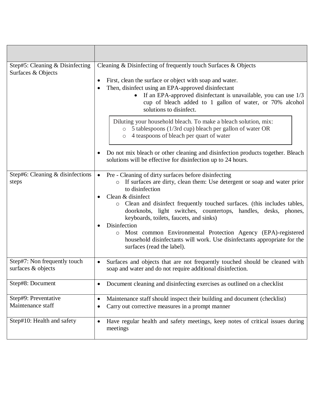| Step#5: Cleaning & Disinfecting<br>Surfaces & Objects | Cleaning & Disinfecting of frequently touch Surfaces & Objects<br>First, clean the surface or object with soap and water.                                                                                             |
|-------------------------------------------------------|-----------------------------------------------------------------------------------------------------------------------------------------------------------------------------------------------------------------------|
|                                                       | Then, disinfect using an EPA-approved disinfectant<br>If an EPA-approved disinfectant is unavailable, you can use $1/3$<br>cup of bleach added to 1 gallon of water, or 70% alcohol<br>solutions to disinfect.        |
|                                                       | Diluting your household bleach. To make a bleach solution, mix:<br>o 5 tablespoons (1/3rd cup) bleach per gallon of water OR<br>4 teaspoons of bleach per quart of water<br>$\circ$                                   |
|                                                       | Do not mix bleach or other cleaning and disinfection products together. Bleach<br>solutions will be effective for disinfection up to 24 hours.                                                                        |
| Step#6: Cleaning & disinfections<br>steps             | Pre - Cleaning of dirty surfaces before disinfecting<br>$\bullet$<br>If surfaces are dirty, clean them: Use detergent or soap and water prior<br>to disinfection                                                      |
|                                                       | Clean & disinfect<br>Clean and disinfect frequently touched surfaces. (this includes tables,<br>$\circ$<br>doorknobs, light switches, countertops, handles, desks, phones,<br>keyboards, toilets, faucets, and sinks) |
|                                                       | Disinfection<br>Most common Environmental Protection Agency (EPA)-registered<br>$\circ$<br>household disinfectants will work. Use disinfectants appropriate for the<br>surfaces (read the label).                     |
| Step#7: Non frequently touch<br>surfaces & objects    | Surfaces and objects that are not frequently touched should be cleaned with<br>$\bullet$<br>soap and water and do not require additional disinfection.                                                                |
| Step#8: Document                                      | Document cleaning and disinfecting exercises as outlined on a checklist<br>٠                                                                                                                                          |
| Step#9: Preventative<br>Maintenance staff             | Maintenance staff should inspect their building and document (checklist)<br>$\bullet$<br>Carry out corrective measures in a prompt manner<br>$\bullet$                                                                |
| Step#10: Health and safety                            | Have regular health and safety meetings, keep notes of critical issues during<br>$\bullet$<br>meetings                                                                                                                |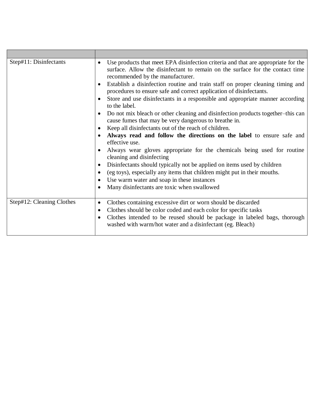| Step#11: Disinfectants    | Use products that meet EPA disinfection criteria and that are appropriate for the<br>$\bullet$<br>surface. Allow the disinfectant to remain on the surface for the contact time<br>recommended by the manufacturer. |
|---------------------------|---------------------------------------------------------------------------------------------------------------------------------------------------------------------------------------------------------------------|
|                           | Establish a disinfection routine and train staff on proper cleaning timing and<br>procedures to ensure safe and correct application of disinfectants.                                                               |
|                           | Store and use disinfectants in a responsible and appropriate manner according<br>to the label.                                                                                                                      |
|                           | Do not mix bleach or other cleaning and disinfection products together-this can<br>cause fumes that may be very dangerous to breathe in.                                                                            |
|                           | Keep all disinfectants out of the reach of children.<br>$\bullet$                                                                                                                                                   |
|                           | Always read and follow the directions on the label to ensure safe and<br>effective use.                                                                                                                             |
|                           | Always wear gloves appropriate for the chemicals being used for routine<br>cleaning and disinfecting                                                                                                                |
|                           | Disinfectants should typically not be applied on items used by children                                                                                                                                             |
|                           | (eg toys), especially any items that children might put in their mouths.                                                                                                                                            |
|                           | Use warm water and soap in these instances                                                                                                                                                                          |
|                           | Many disinfectants are toxic when swallowed                                                                                                                                                                         |
| Step#12: Cleaning Clothes | Clothes containing excessive dirt or worn should be discarded<br>$\bullet$                                                                                                                                          |
|                           | Clothes should be color coded and each color for specific tasks                                                                                                                                                     |
|                           | Clothes intended to be reused should be package in labeled bags, thorough<br>washed with warm/hot water and a disinfectant (eg. Bleach)                                                                             |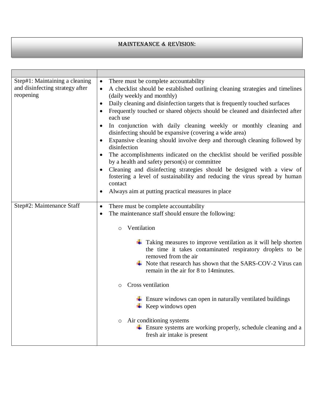## Maintenance & Revision:

| Step#1: Maintaining a cleaning<br>and disinfecting strategy after<br>reopening | There must be complete accountability<br>$\bullet$<br>A checklist should be established outlining cleaning strategies and timelines<br>$\bullet$<br>(daily weekly and monthly)<br>Daily cleaning and disinfection targets that is frequently touched surfaces<br>٠<br>Frequently touched or shared objects should be cleaned and disinfected after<br>each use<br>In conjunction with daily cleaning weekly or monthly cleaning and<br>$\bullet$<br>disinfecting should be expansive (covering a wide area)<br>Expansive cleaning should involve deep and thorough cleaning followed by<br>٠<br>disinfection<br>The accomplishments indicated on the checklist should be verified possible<br>by a health and safety person(s) or committee<br>Cleaning and disinfecting strategies should be designed with a view of<br>$\bullet$<br>fostering a level of sustainability and reducing the virus spread by human<br>contact<br>Always aim at putting practical measures in place<br>٠ |
|--------------------------------------------------------------------------------|---------------------------------------------------------------------------------------------------------------------------------------------------------------------------------------------------------------------------------------------------------------------------------------------------------------------------------------------------------------------------------------------------------------------------------------------------------------------------------------------------------------------------------------------------------------------------------------------------------------------------------------------------------------------------------------------------------------------------------------------------------------------------------------------------------------------------------------------------------------------------------------------------------------------------------------------------------------------------------------|
| Step#2: Maintenance Staff                                                      | There must be complete accountability<br>$\bullet$<br>The maintenance staff should ensure the following:<br>٠<br>Ventilation<br>$\circ$                                                                                                                                                                                                                                                                                                                                                                                                                                                                                                                                                                                                                                                                                                                                                                                                                                               |
|                                                                                | $\ddot{\bullet}$ Taking measures to improve ventilation as it will help shorten<br>the time it takes contaminated respiratory droplets to be<br>removed from the air<br>$\overline{\phantom{A}}$ Note that research has shown that the SARS-COV-2 Virus can<br>remain in the air for 8 to 14 minutes.                                                                                                                                                                                                                                                                                                                                                                                                                                                                                                                                                                                                                                                                                 |
|                                                                                | Cross ventilation<br>O                                                                                                                                                                                                                                                                                                                                                                                                                                                                                                                                                                                                                                                                                                                                                                                                                                                                                                                                                                |
|                                                                                | $\overline{\phantom{a}}$ Ensure windows can open in naturally ventilated buildings<br>Keep windows open                                                                                                                                                                                                                                                                                                                                                                                                                                                                                                                                                                                                                                                                                                                                                                                                                                                                               |
|                                                                                | Air conditioning systems<br>$\circ$<br>$\overline{\text{+}}$ Ensure systems are working properly, schedule cleaning and a<br>fresh air intake is present                                                                                                                                                                                                                                                                                                                                                                                                                                                                                                                                                                                                                                                                                                                                                                                                                              |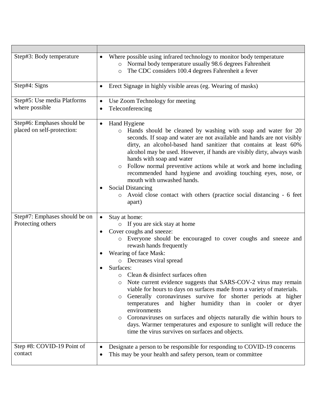| Step#3: Body temperature                                 | Where possible using infrared technology to monitor body temperature<br>o Normal body temperature usually 98.6 degrees Fahrenheit<br>The CDC considers 100.4 degrees Fahrenheit a fever<br>$\circ$                                                                                                                                                                                                                                                                                                                                                                                                                                                                                                                                                                                                                  |
|----------------------------------------------------------|---------------------------------------------------------------------------------------------------------------------------------------------------------------------------------------------------------------------------------------------------------------------------------------------------------------------------------------------------------------------------------------------------------------------------------------------------------------------------------------------------------------------------------------------------------------------------------------------------------------------------------------------------------------------------------------------------------------------------------------------------------------------------------------------------------------------|
| Step#4: Signs                                            | Erect Signage in highly visible areas (eg. Wearing of masks)<br>$\bullet$                                                                                                                                                                                                                                                                                                                                                                                                                                                                                                                                                                                                                                                                                                                                           |
| Step#5: Use media Platforms<br>where possible            | Use Zoom Technology for meeting<br>$\bullet$<br>Teleconferencing                                                                                                                                                                                                                                                                                                                                                                                                                                                                                                                                                                                                                                                                                                                                                    |
| Step#6: Emphases should be<br>placed on self-protection: | Hand Hygiene<br>$\bullet$<br>Hands should be cleaned by washing with soap and water for 20<br>$\circ$<br>seconds. If soap and water are not available and hands are not visibly<br>dirty, an alcohol-based hand sanitizer that contains at least 60%<br>alcohol may be used. However, if hands are visibly dirty, always wash<br>hands with soap and water<br>Follow normal preventive actions while at work and home including<br>$\circ$<br>recommended hand hygiene and avoiding touching eyes, nose, or<br>mouth with unwashed hands.<br><b>Social Distancing</b><br>Avoid close contact with others (practice social distancing - 6 feet<br>$\circ$<br>apart)                                                                                                                                                  |
| Step#7: Emphases should be on<br>Protecting others       | Stay at home:<br>o If you are sick stay at home<br>Cover coughs and sneeze:<br>Everyone should be encouraged to cover coughs and sneeze and<br>$\circ$<br>rewash hands frequently<br>Wearing of face Mask:<br>o Decreases viral spread<br>Surfaces:<br>Clean & disinfect surfaces often<br>$\circ$<br>Note current evidence suggests that SARS-COV-2 virus may remain<br>viable for hours to days on surfaces made from a variety of materials.<br>Generally coronaviruses survive for shorter periods at higher<br>$\circ$<br>temperatures and higher humidity than in cooler or dryer<br>environments<br>Coronaviruses on surfaces and objects naturally die within hours to<br>$\circ$<br>days. Warmer temperatures and exposure to sunlight will reduce the<br>time the virus survives on surfaces and objects. |
| Step #8: COVID-19 Point of<br>contact                    | Designate a person to be responsible for responding to COVID-19 concerns<br>This may be your health and safety person, team or committee<br>$\bullet$                                                                                                                                                                                                                                                                                                                                                                                                                                                                                                                                                                                                                                                               |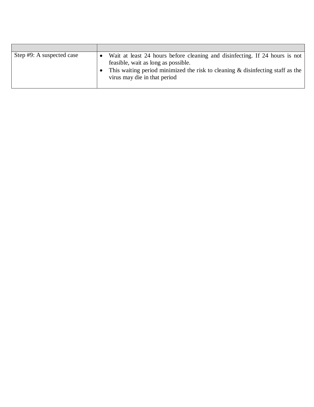| Step #9: A suspected case | Wait at least 24 hours before cleaning and disinfecting. If 24 hours is not<br>feasible, wait as long as possible.<br>This waiting period minimized the risk to cleaning $\&$ disinfecting staff as the<br>virus may die in that period |
|---------------------------|-----------------------------------------------------------------------------------------------------------------------------------------------------------------------------------------------------------------------------------------|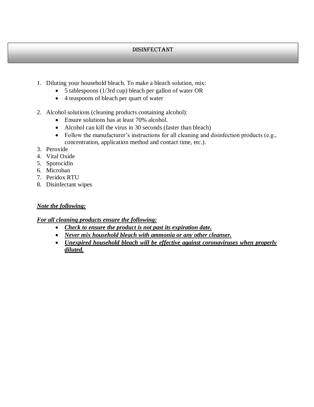#### Disinfectant

- 1. Diluting your household bleach. To make a bleach solution, mix:
	- 5 tablespoons (1/3rd cup) bleach per gallon of water OR
	- 4 teaspoons of bleach per quart of water
- 2. Alcohol solutions (cleaning products containing alcohol):
	- Ensure solutions has at least 70% alcohol.
	- Alcohol can kill the virus in 30 seconds (faster than bleach)
	- Follow the manufacturer's instructions for all cleaning and disinfection products (e.g., concentration, application method and contact time, etc.).
- 3. Peroxide
- 4. Vital Oxide
- 5. Sporocidin
- 6. Microban
- 7. Peridox RTU
- 8. Disinfectant wipes

#### *Note the following:*

#### *For all cleaning products ensure the following:*

- *Check to ensure the product is not past its expiration date.*
- *Never mix household bleach with ammonia or any other cleanser.*
- *Unexpired household bleach will be effective against coronaviruses when properly diluted.*